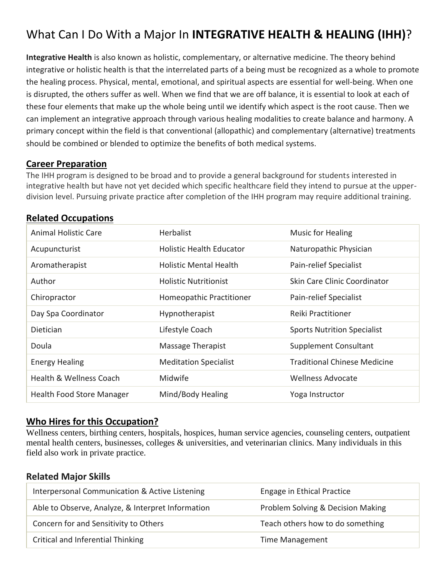# What Can I Do With a Major In **INTEGRATIVE HEALTH & HEALING (IHH)**?

**Integrative Health** is also known as holistic, complementary, or alternative medicine. The theory behind integrative or holistic health is that the interrelated parts of a being must be recognized as a whole to promote the healing process. Physical, mental, emotional, and spiritual aspects are essential for well-being. When one is disrupted, the others suffer as well. When we find that we are off balance, it is essential to look at each of these four elements that make up the whole being until we identify which aspect is the root cause. Then we can implement an integrative approach through various healing modalities to create balance and harmony. A primary concept within the field is that conventional (allopathic) and complementary (alternative) treatments should be combined or blended to optimize the benefits of both medical systems.

### **Career Preparation**

The IHH program is designed to be broad and to provide a general background for students interested in integrative health but have not yet decided which specific healthcare field they intend to pursue at the upperdivision level. Pursuing private practice after completion of the IHH program may require additional training.

## **Related Occupations**

| <b>Animal Holistic Care</b>        | <b>Herbalist</b>                | <b>Music for Healing</b>            |
|------------------------------------|---------------------------------|-------------------------------------|
| Acupuncturist                      | <b>Holistic Health Educator</b> | Naturopathic Physician              |
| Aromatherapist                     | <b>Holistic Mental Health</b>   | Pain-relief Specialist              |
| Author                             | <b>Holistic Nutritionist</b>    | Skin Care Clinic Coordinator        |
| Chiropractor                       | Homeopathic Practitioner        | Pain-relief Specialist              |
| Day Spa Coordinator                | Hypnotherapist                  | Reiki Practitioner                  |
| <b>Dietician</b>                   | Lifestyle Coach                 | <b>Sports Nutrition Specialist</b>  |
| Doula                              | Massage Therapist               | <b>Supplement Consultant</b>        |
| <b>Energy Healing</b>              | <b>Meditation Specialist</b>    | <b>Traditional Chinese Medicine</b> |
| <b>Health &amp; Wellness Coach</b> | Midwife                         | <b>Wellness Advocate</b>            |
| <b>Health Food Store Manager</b>   | Mind/Body Healing               | Yoga Instructor                     |

### **Who Hires for this Occupation?**

Wellness centers, birthing centers, hospitals, hospices, human service agencies, counseling centers, outpatient mental health centers, businesses, colleges & universities, and veterinarian clinics. Many individuals in this field also work in private practice.

### **Related Major Skills**

| Interpersonal Communication & Active Listening    | Engage in Ethical Practice        |
|---------------------------------------------------|-----------------------------------|
| Able to Observe, Analyze, & Interpret Information | Problem Solving & Decision Making |
| Concern for and Sensitivity to Others             | Teach others how to do something  |
| Critical and Inferential Thinking                 | <b>Time Management</b>            |